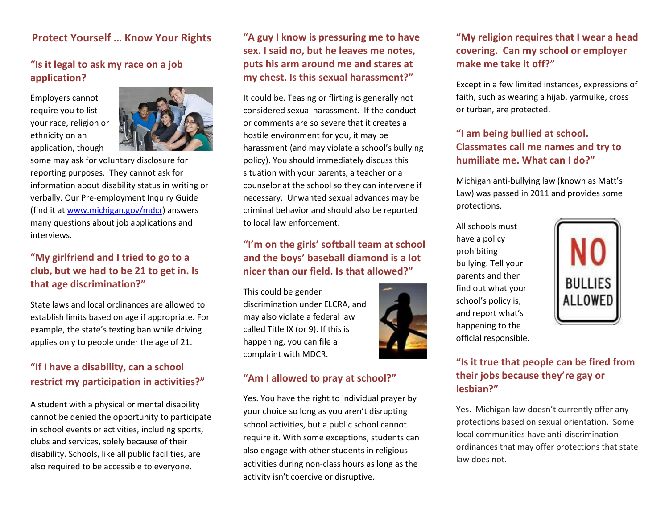#### **Protect Yourself … Know Your Rights**

# **"Is it legal to ask my race on a job application?**

Employers cannot require you to list your race, religion or ethnicity on an application, though



some may ask for voluntary disclosure for reporting purposes. They cannot ask for information about disability status in writing or verbally. Our Pre-employment Inquiry Guide (find it a[t www.michigan.gov/mdcr\)](http://www.michigan.gov/mdcr) answers many questions about job applications and interviews.

#### **"My girlfriend and I tried to go to a club, but we had to be 21 to get in. Is that age discrimination?"**

State laws and local ordinances are allowed to establish limits based on age if appropriate. For example, the state's texting ban while driving applies only to people under the age of 21.

# **"If I have a disability, can a school restrict my participation in activities?"**

A student with a physical or mental disability cannot be denied the opportunity to participate in school events or activities, including sports, clubs and services, solely because of their disability. Schools, like all public facilities, are also required to be accessible to everyone.

#### **"A guy I know is pressuring me to have sex. I said no, but he leaves me notes, puts his arm around me and stares at my chest. Is this sexual harassment?"**

It could be. Teasing or flirting is generally not considered sexual harassment. If the conduct or comments are so severe that it creates a hostile environment for you, it may be harassment (and may violate a school's bullying policy). You should immediately discuss this situation with your parents, a teacher or a counselor at the school so they can intervene if necessary. Unwanted sexual advances may be criminal behavior and should also be reported to local law enforcement.

#### **"I'm on the girls' softball team at school and the boys' baseball diamond is a lot nicer than our field. Is that allowed?"**

This could be gender discrimination under ELCRA, and may also violate a federal law called Title IX (or 9). If this is happening, you can file a complaint with MDCR.



#### **"Am I allowed to pray at school?"**

Yes. You have the right to individual prayer by your choice so long as you aren't disrupting school activities, but a public school cannot require it. With some exceptions, students can also engage with other students in religious activities during non-class hours as long as the activity isn't coercive or disruptive.

# **"My religion requires that I wear a head covering. Can my school or employer make me take it off?"**

Except in a few limited instances, expressions of faith, such as wearing a hijab, yarmulke, cross or turban, are protected.

# **"I am being bullied at school. Classmates call me names and try to humiliate me. What can I do?"**

Michigan anti-bullying law (known as Matt's Law) was passed in 2011 and provides some protections.

All schools must have a policy prohibiting bullying. Tell your parents and then find out what your school's policy is, and report what's happening to the official responsible.



#### **"Is it true that people can be fired from their jobs because they're gay or lesbian?"**

Yes. Michigan law doesn't currently offer any protections based on sexual orientation. Some local communities have anti-discrimination ordinances that may offer protections that state law does not.